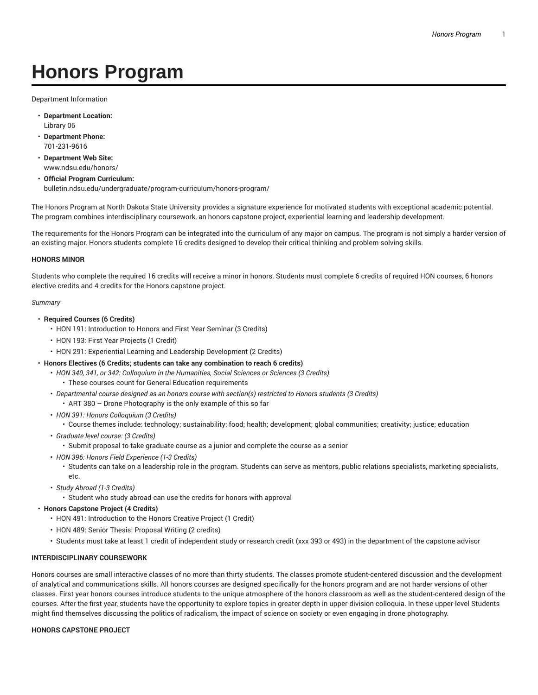# **Honors Program**

Department Information

- **Department Location:** Library 06
- **Department Phone:** 701-231-9616
- **Department Web Site:** www.ndsu.edu/honors/
- **Official Program Curriculum:** bulletin.ndsu.edu/undergraduate/program-curriculum/honors-program/

The Honors Program at North Dakota State University provides a signature experience for motivated students with exceptional academic potential. The program combines interdisciplinary coursework, an honors capstone project, experiential learning and leadership development.

The requirements for the Honors Program can be integrated into the curriculum of any major on campus. The program is not simply a harder version of an existing major. Honors students complete 16 credits designed to develop their critical thinking and problem-solving skills.

## **HONORS MINOR**

Students who complete the required 16 credits will receive a minor in honors. Students must complete 6 credits of required HON courses, 6 honors elective credits and 4 credits for the Honors capstone project.

## *Summary*

- **Required Courses (6 Credits)**
	- HON 191: Introduction to Honors and First Year Seminar (3 Credits)
	- HON 193: First Year Projects (1 Credit)
	- HON 291: Experiential Learning and Leadership Development (2 Credits)
- **Honors Electives (6 Credits; students can take any combination to reach 6 credits)**
	- *HON 340, 341, or 342: Colloquium in the Humanities, Social Sciences or Sciences (3 Credits)*
		- These courses count for General Education requirements
	- *Departmental course designed as an honors course with section(s) restricted to Honors students (3 Credits)* • ART 380 – Drone Photography is the only example of this so far
	- *HON 391: Honors Colloquium (3 Credits)*
		- Course themes include: technology; sustainability; food; health; development; global communities; creativity; justice; education
	- *Graduate level course: (3 Credits)*
		- Submit proposal to take graduate course as a junior and complete the course as a senior
	- *HON 396: Honors Field Experience (1-3 Credits)*
		- Students can take on a leadership role in the program. Students can serve as mentors, public relations specialists, marketing specialists, etc.
	- *Study Abroad (1-3 Credits)*
		- Student who study abroad can use the credits for honors with approval
- **Honors Capstone Project (4 Credits)**
	- HON 491: Introduction to the Honors Creative Project (1 Credit)
	- HON 489: Senior Thesis: Proposal Writing (2 credits)
	- Students must take at least 1 credit of independent study or research credit (xxx 393 or 493) in the department of the capstone advisor

## **INTERDISCIPLINARY COURSEWORK**

Honors courses are small interactive classes of no more than thirty students. The classes promote student-centered discussion and the development of analytical and communications skills. All honors courses are designed specifically for the honors program and are not harder versions of other classes. First year honors courses introduce students to the unique atmosphere of the honors classroom as well as the student-centered design of the courses. After the first year, students have the opportunity to explore topics in greater depth in upper-division colloquia. In these upper-level Students might find themselves discussing the politics of radicalism, the impact of science on society or even engaging in drone photography.

## **HONORS CAPSTONE PROJECT**